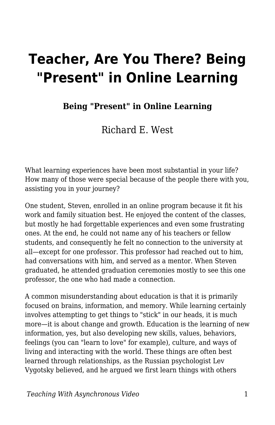# **Teacher, Are You There? Being "Present" in Online Learning**

#### **Being "Present" in Online Learning**

Richard E. West

What learning experiences have been most substantial in your life? How many of those were special because of the people there with you, assisting you in your journey?

One student, Steven, enrolled in an online program because it fit his work and family situation best. He enjoyed the content of the classes, but mostly he had forgettable experiences and even some frustrating ones. At the end, he could not name any of his teachers or fellow students, and consequently he felt no connection to the university at all—except for one professor. This professor had reached out to him, had conversations with him, and served as a mentor. When Steven graduated, he attended graduation ceremonies mostly to see this one professor, the one who had made a connection.

A common misunderstanding about education is that it is primarily focused on brains, information, and memory. While learning certainly involves attempting to get things to "stick" in our heads, it is much more—it is about change and growth. Education is the learning of new information, yes, but also developing new skills, values, behaviors, feelings (you can "learn to love" for example), culture, and ways of living and interacting with the world. These things are often best learned through relationships, as the Russian psychologist Lev Vygotsky believed, and he argued we first learn things with others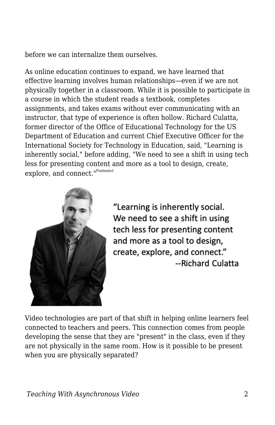before we can internalize them ourselves.

As online education continues to expand, we have learned that effective learning involves human relationships—even if we are not physically together in a classroom. While it is possible to participate in a course in which the student reads a textbook, completes assignments, and takes exams without ever communicating with an instructor, that type of experience is often hollow. Richard Culatta, former director of the Office of Educational Technology for the US Department of Education and current Chief Executive Officer for the International Society for Technology in Education, said, "Learning is inherently social," before adding, "We need to see a shift in using tech less for presenting content and more as a tool to design, create, explore, and connect."<sup>Footnote1</sup>



"Learning is inherently social. We need to see a shift in using tech less for presenting content and more as a tool to design, create, explore, and connect." --Richard Culatta

Video technologies are part of that shift in helping online learners feel connected to teachers and peers. This connection comes from people developing the sense that they are "present" in the class, even if they are not physically in the same room. How is it possible to be present when you are physically separated?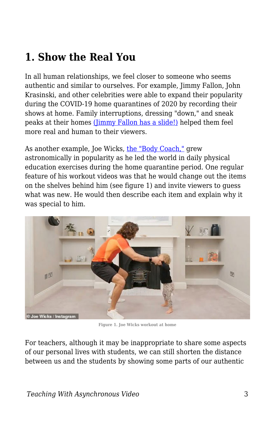### **1. Show the Real You**

In all human relationships, we feel closer to someone who seems authentic and similar to ourselves. For example, Jimmy Fallon, John Krasinski, and other celebrities were able to expand their popularity during the COVID-19 home quarantines of 2020 by recording their shows at home. Family interruptions, dressing "down," and sneak peaks at their homes [\(Jimmy Fallon has a slide!\)](https://www.today.com/popculture/jimmy-fallon-has-slide-his-house-we-have-lot-questions-t176525) helped them feel more real and human to their viewers.

As another example, Joe Wicks, [the "Body Coach,"](https://www.youtube.com/channel/UCAxW1XT0iEJo0TYlRfn6rYQ) grew astronomically in popularity as he led the world in daily physical education exercises during the home quarantine period. One regular feature of his workout videos was that he would change out the items on the shelves behind him (see figure 1) and invite viewers to guess what was new. He would then describe each item and explain why it was special to him.



**Figure 1. Joe Wicks workout at home**

For teachers, although it may be inappropriate to share some aspects of our personal lives with students, we can still shorten the distance between us and the students by showing some parts of our authentic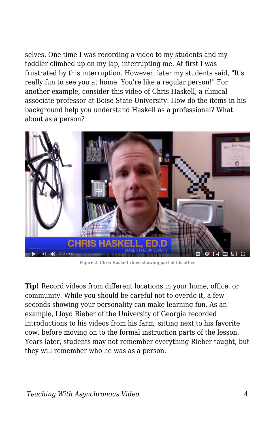selves. One time I was recording a video to my students and my toddler climbed up on my lap, interrupting me. At first I was frustrated by this interruption. However, later my students said, "It's really fun to see you at home. You're like a regular person!" For another example, consider this video of Chris Haskell, a clinical associate professor at Boise State University. How do the items in his background help you understand Haskell as a professional? What about as a person?



**Figure 2. Chris Haskell video showing part of his office**

**Tip!** Record videos from different locations in your home, office, or community. While you should be careful not to overdo it, a few seconds showing your personality can make learning fun. As an example, Lloyd Rieber of the University of Georgia recorded introductions to his videos from his farm, sitting next to his favorite cow, before moving on to the formal instruction parts of the lesson. Years later, students may not remember everything Rieber taught, but they will remember who he was as a person.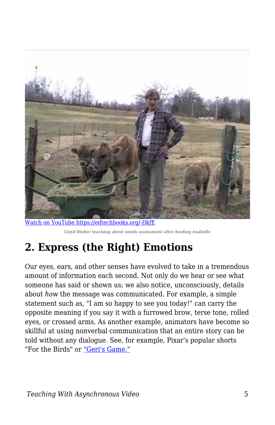

[Watch on YouTube https://edtechbooks.org/-DkfE](https://www.youtube.com/embed/X93BVC-1oew?autoplay=1&rel=0&showinfo=0&modestbranding=1) **Lloyd Rieber teaching about needs assessment after feeding Anabelle**

# **2. Express (the Right) Emotions**

Our eyes, ears, and other senses have evolved to take in a tremendous amount of information each second. Not only do we hear or see what someone has said or shown us; we also notice, unconsciously, details about *how* the message was communicated. For example, a simple statement such as, "I am so happy to see you today!" can carry the opposite meaning if you say it with a furrowed brow, terse tone, rolled eyes, or crossed arms. As another example, animators have become so skillful at using nonverbal communication that an entire story can be told without any dialogue. See, for example, Pixar's popular shorts "For the Birds" or ["Geri's Game."](https://www.youtube.com/watch?v=9IYRC7g2ICg)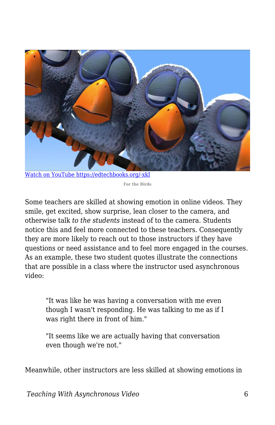

[Watch on YouTube https://edtechbooks.org/-xkI](https://www.youtube.com/embed/nYTrIcn4rjg?autoplay=1&rel=0&showinfo=0&modestbranding=1)

**For the Birds**

Some teachers are skilled at showing emotion in online videos. They smile, get excited, show surprise, lean closer to the camera, and otherwise talk *to the students* instead of to the camera. Students notice this and feel more connected to these teachers. Consequently they are more likely to reach out to those instructors if they have questions or need assistance and to feel more engaged in the courses. As an example, these two student quotes illustrate the connections that are possible in a class where the instructor used asynchronous video:

"It was like he was having a conversation with me even though I wasn't responding. He was talking to me as if I was right there in front of him."

"It seems like we are actually having that conversation even though we're not."

Meanwhile, other instructors are less skilled at showing emotions in

*Teaching With Asynchronous Video* 6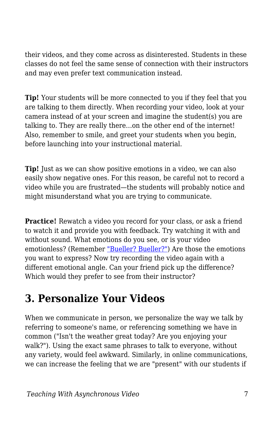their videos, and they come across as disinterested. Students in these classes do not feel the same sense of connection with their instructors and may even prefer text communication instead.

**Tip!** Your students will be more connected to you if they feel that you are talking to them directly. When recording your video, look at your camera instead of at your screen and imagine the student(s) you are talking to. They are really there…on the other end of the internet! Also, remember to smile, and greet your students when you begin, before launching into your instructional material.

**Tip!** Just as we can show positive emotions in a video, we can also easily show negative ones. For this reason, be careful not to record a video while you are frustrated—the students will probably notice and might misunderstand what you are trying to communicate.

**Practice!** Rewatch a video you record for your class, or ask a friend to watch it and provide you with feedback. Try watching it with and without sound. What emotions do you see, or is your video emotionless? (Remember ["Bueller? Bueller?"](https://www.youtube.com/watch?v=KS6f1MKpLGM&feature=youtu.be&t=15)) Are those the emotions you want to express? Now try recording the video again with a different emotional angle. Can your friend pick up the difference? Which would they prefer to see from their instructor?

### **3. Personalize Your Videos**

When we communicate in person, we personalize the way we talk by referring to someone's name, or referencing something we have in common ("Isn't the weather great today? Are you enjoying your walk?"). Using the exact same phrases to talk to everyone, without any variety, would feel awkward. Similarly, in online communications, we can increase the feeling that we are "present" with our students if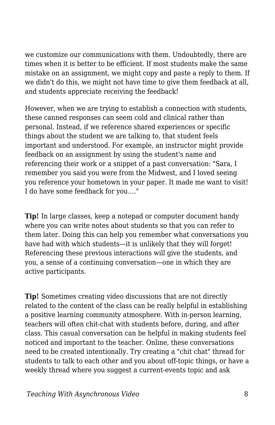we customize our communications with them. Undoubtedly, there are times when it is better to be efficient. If most students make the same mistake on an assignment, we might copy and paste a reply to them. If we didn't do this, we might not have time to give them feedback at all, and students appreciate receiving the feedback!

However, when we are trying to establish a connection with students, these canned responses can seem cold and clinical rather than personal. Instead, if we reference shared experiences or specific things about the student we are talking to, that student feels important and understood. For example, an instructor might provide feedback on an assignment by using the student's name and referencing their work or a snippet of a past conversation: "Sara, I remember you said you were from the Midwest, and I loved seeing you reference your hometown in your paper. It made me want to visit! I do have some feedback for you…."

**Tip!** In large classes, keep a notepad or computer document handy where you can write notes about students so that you can refer to them later. Doing this can help you remember what conversations you have had with which students—it is unlikely that they will forget! Referencing these previous interactions will give the students, and you, a sense of a continuing conversation—one in which they are active participants.

**Tip!** Sometimes creating video discussions that are not directly related to the content of the class can be really helpful in establishing a positive learning community atmosphere. With in-person learning, teachers will often chit-chat with students before, during, and after class. This casual conversation can be helpful in making students feel noticed and important to the teacher. Online, these conversations need to be created intentionally. Try creating a "chit chat" thread for students to talk to each other and you about off-topic things, or have a weekly thread where you suggest a current-events topic and ask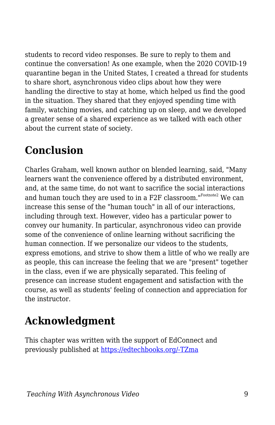students to record video responses. Be sure to reply to them and continue the conversation! As one example, when the 2020 COVID-19 quarantine began in the United States, I created a thread for students to share short, asynchronous video clips about how they were handling the directive to stay at home, which helped us find the good in the situation. They shared that they enjoyed spending time with family, watching movies, and catching up on sleep, and we developed a greater sense of a shared experience as we talked with each other about the current state of society.

### **Conclusion**

Charles Graham, well known author on blended learning, said, "Many learners want the convenience offered by a distributed environment, and, at the same time, do not want to sacrifice the social interactions and human touch they are used to in a F2F classroom."<sup>Footnote2</sup> We can increase this sense of the "human touch" in all of our interactions, including through text. However, video has a particular power to convey our humanity. In particular, asynchronous video can provide some of the convenience of online learning without sacrificing the human connection. If we personalize our videos to the students, express emotions, and strive to show them a little of who we really are as people, this can increase the feeling that we are "present" together in the class, even if we are physically separated. This feeling of presence can increase student engagement and satisfaction with the course, as well as students' feeling of connection and appreciation for the instructor.

## **Acknowledgment**

This chapter was written with the support of EdConnect and previously published at [https://edtechbooks.org/-TZma](https://er.educause.edu/blogs/2021/2/teacher-are-you-there-being-present-in-online-learning)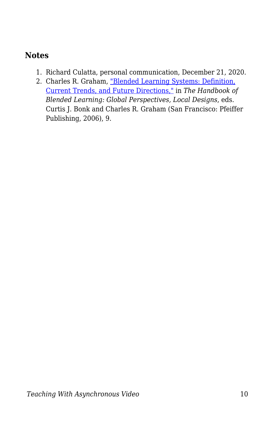#### **Notes**

- 1. Richard Culatta, personal communication, December 21, 2020.
- 2. Charles R. Graham, ["Blended Learning Systems: Definition,](https://www.wiley.com/en-us/The+Handbook+of+Blended+Learning%3A+Global+Perspectives%2C+Local+Designs-p-9780787977580) [Current Trends, and Future Directions,"](https://www.wiley.com/en-us/The+Handbook+of+Blended+Learning%3A+Global+Perspectives%2C+Local+Designs-p-9780787977580) in *The Handbook of Blended Learning: Global Perspectives, Local Designs*, eds. Curtis J. Bonk and Charles R. Graham (San Francisco: Pfeiffer Publishing, 2006), 9.